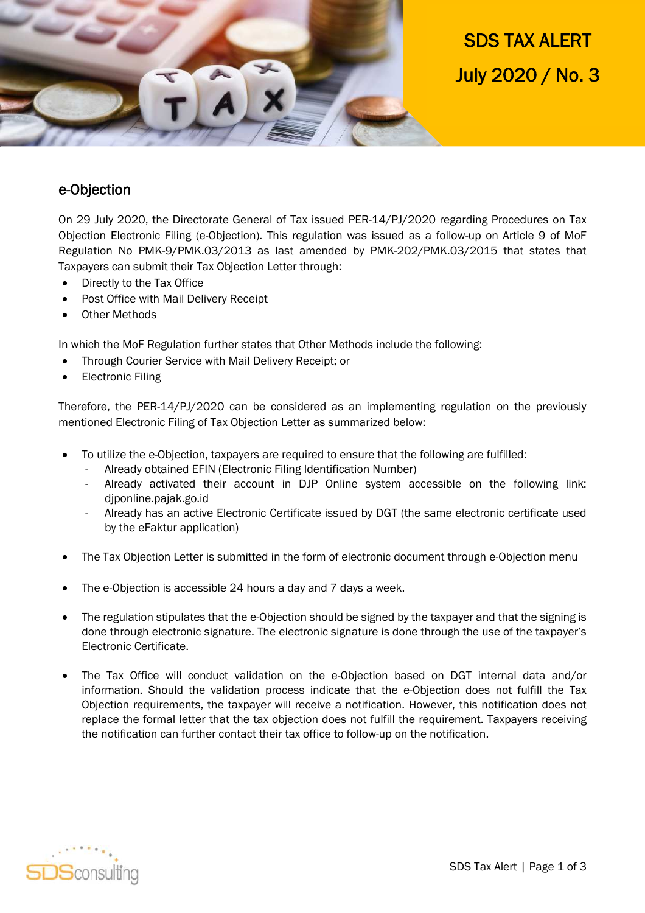

SDS TAX ALERT July 2020 / No. 3

## e-Objection

On 29 July 2020, the Directorate General of Tax issued PER-14/PJ/2020 regarding Procedures on Tax Objection Electronic Filing (e-Objection). This regulation was issued as a follow-up on Article 9 of MoF Regulation No PMK-9/PMK.03/2013 as last amended by PMK-202/PMK.03/2015 that states that Taxpayers can submit their Tax Objection Letter through:

- Directly to the Tax Office
- Post Office with Mail Delivery Receipt
- Other Methods

In which the MoF Regulation further states that Other Methods include the following:

- Through Courier Service with Mail Delivery Receipt; or
- Electronic Filing

Therefore, the PER-14/PJ/2020 can be considered as an implementing regulation on the previously mentioned Electronic Filing of Tax Objection Letter as summarized below:

- To utilize the e-Objection, taxpayers are required to ensure that the following are fulfilled:
	- Already obtained EFIN (Electronic Filing Identification Number)
	- Already activated their account in DJP Online system accessible on the following link: djponline.pajak.go.id
	- Already has an active Electronic Certificate issued by DGT (the same electronic certificate used by the eFaktur application)
- The Tax Objection Letter is submitted in the form of electronic document through e-Objection menu
- The e-Objection is accessible 24 hours a day and 7 days a week.
- The regulation stipulates that the e-Objection should be signed by the taxpayer and that the signing is done through electronic signature. The electronic signature is done through the use of the taxpayer's Electronic Certificate.
- The Tax Office will conduct validation on the e-Objection based on DGT internal data and/or information. Should the validation process indicate that the e-Objection does not fulfill the Tax Objection requirements, the taxpayer will receive a notification. However, this notification does not replace the formal letter that the tax objection does not fulfill the requirement. Taxpayers receiving the notification can further contact their tax office to follow-up on the notification.

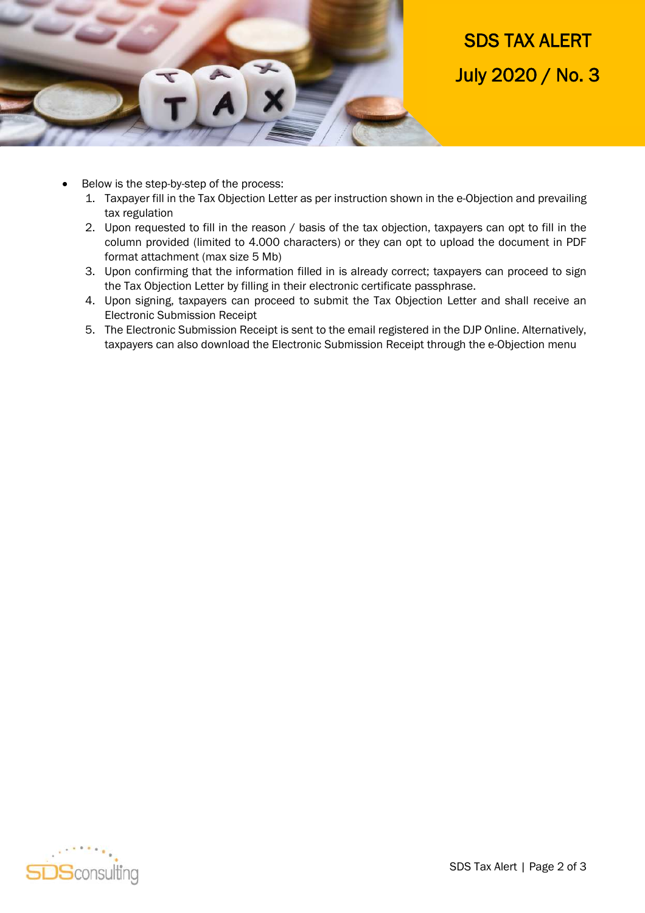

## SDS TAX ALERT July 2020 / No. 3

- Below is the step-by-step of the process:
	- 1. Taxpayer fill in the Tax Objection Letter as per instruction shown in the e-Objection and prevailing tax regulation
	- 2. Upon requested to fill in the reason / basis of the tax objection, taxpayers can opt to fill in the column provided (limited to 4.000 characters) or they can opt to upload the document in PDF format attachment (max size 5 Mb)
	- 3. Upon confirming that the information filled in is already correct; taxpayers can proceed to sign the Tax Objection Letter by filling in their electronic certificate passphrase.
	- 4. Upon signing, taxpayers can proceed to submit the Tax Objection Letter and shall receive an Electronic Submission Receipt
	- 5. The Electronic Submission Receipt is sent to the email registered in the DJP Online. Alternatively, taxpayers can also download the Electronic Submission Receipt through the e-Objection menu